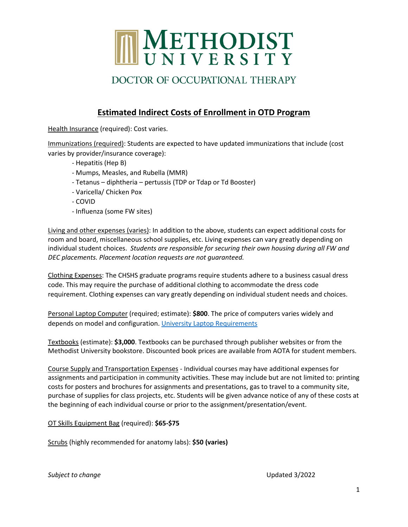

# DOCTOR OF OCCUPATIONAL THERAPY

### **Estimated Indirect Costs of Enrollment in OTD Program**

Health Insurance (required): Cost varies.

Immunizations (required): Students are expected to have updated immunizations that include (cost varies by provider/insurance coverage):

- Hepatitis (Hep B)
- Mumps, Measles, and Rubella (MMR)
- Tetanus diphtheria pertussis (TDP or Tdap or Td Booster)
- Varicella/ Chicken Pox
- COVID
- Influenza (some FW sites)

Living and other expenses (varies): In addition to the above, students can expect additional costs for room and board, miscellaneous school supplies, etc. Living expenses can vary greatly depending on individual student choices. *Students are responsible for securing their own housing during all FW and DEC placements. Placement location requests are not guaranteed.*

Clothing Expenses: The CHSHS graduate programs require students adhere to a business casual dress code. This may require the purchase of additional clothing to accommodate the dress code requirement. Clothing expenses can vary greatly depending on individual student needs and choices.

Personal Laptop Computer (required; estimate): **\$800**. The price of computers varies widely and depends on model and configuration. [University Laptop Requirements](https://www.methodist.edu/it/laptops/)

Textbooks (estimate): **\$3,000**. Textbooks can be purchased through publisher websites or from the Methodist University bookstore. Discounted book prices are available from AOTA for student members.

Course Supply and Transportation Expenses - Individual courses may have additional expenses for assignments and participation in community activities. These may include but are not limited to: printing costs for posters and brochures for assignments and presentations, gas to travel to a community site, purchase of supplies for class projects, etc. Students will be given advance notice of any of these costs at the beginning of each individual course or prior to the assignment/presentation/event.

OT Skills Equipment Bag (required): **\$65-\$75**

Scrubs (highly recommended for anatomy labs): **\$50 (varies)**

**Subject to change Subject to change Updated 3/2022**